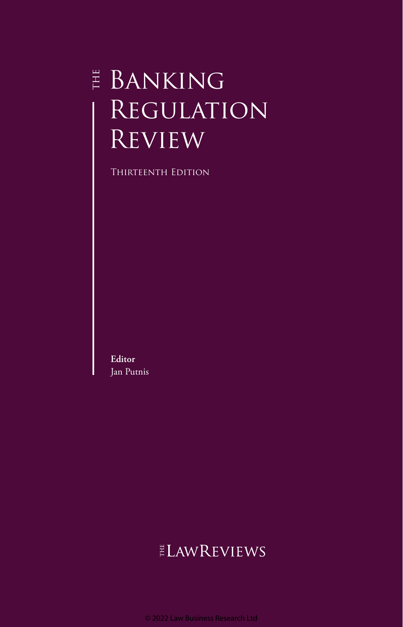# $\overset{\scriptscriptstyle \mathrm{H}}{\scriptscriptstyle \mathrm{E}}$  Banking **REGULATION REVIEW**

Thirteenth Edition

**Editor** Jan Putnis

# **ELAWREVIEWS**

© 2022 Law Business Research Ltd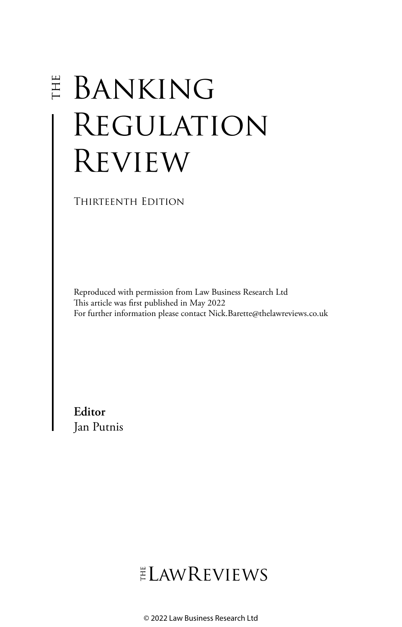# **E** BANKING Regulation **REVIEW**

Thirteenth Edition

Reproduced with permission from Law Business Research Ltd This article was first published in May 2022 For further information please contact Nick.Barette@thelawreviews.co.uk

**Editor** Jan Putnis

ELAWREVIEWS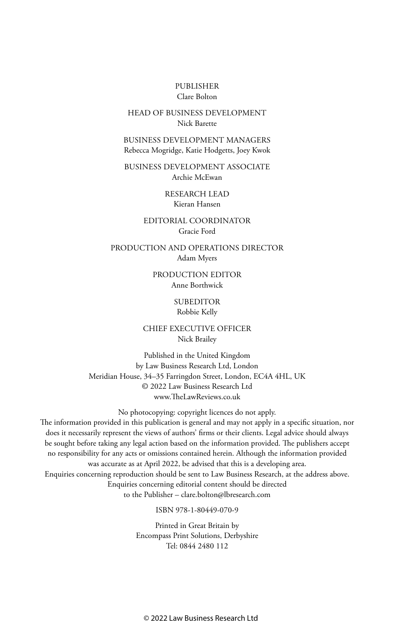#### PUBLISHER Clare Bolton

#### HEAD OF BUSINESS DEVELOPMENT Nick Barette

BUSINESS DEVELOPMENT MANAGERS Rebecca Mogridge, Katie Hodgetts, Joey Kwok

BUSINESS DEVELOPMENT ASSOCIATE Archie McEwan

> RESEARCH LEAD Kieran Hansen

EDITORIAL COORDINATOR Gracie Ford

PRODUCTION AND OPERATIONS DIRECTOR Adam Myers

> PRODUCTION EDITOR Anne Borthwick

#### **SUBEDITOR** Robbie Kelly

CHIEF EXECUTIVE OFFICER Nick Brailey

Published in the United Kingdom by Law Business Research Ltd, London Meridian House, 34–35 Farringdon Street, London, EC4A 4HL, UK © 2022 Law Business Research Ltd www.TheLawReviews.co.uk

No photocopying: copyright licences do not apply. The information provided in this publication is general and may not apply in a specific situation, nor does it necessarily represent the views of authors' firms or their clients. Legal advice should always be sought before taking any legal action based on the information provided. The publishers accept no responsibility for any acts or omissions contained herein. Although the information provided was accurate as at April 2022, be advised that this is a developing area. Enquiries concerning reproduction should be sent to Law Business Research, at the address above. Enquiries concerning editorial content should be directed to the Publisher – clare.bolton@lbresearch.com

ISBN 978-1-80449-070-9

Printed in Great Britain by Encompass Print Solutions, Derbyshire Tel: 0844 2480 112

© 2022 Law Business Research Ltd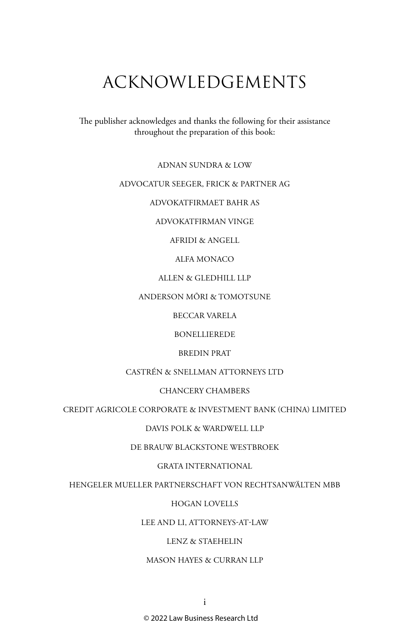## ACKNOWLEDGEMENTS

The publisher acknowledges and thanks the following for their assistance throughout the preparation of this book:

ADNAN SUNDRA & LOW

#### ADVOCATUR SEEGER, FRICK & PARTNER AG

ADVOKATFIRMAET BAHR AS

ADVOKATFIRMAN VINGE

AFRIDI & ANGELL

ALFA MONACO

ALLEN & GLEDHILL LLP

ANDERSON MŌRI & TOMOTSUNE

BECCAR VARELA

BONELLIEREDE

BREDIN PRAT

CASTRÉN & SNELLMAN ATTORNEYS LTD

CHANCERY CHAMBERS

CREDIT AGRICOLE CORPORATE & INVESTMENT BANK (CHINA) LIMITED

DAVIS POLK & WARDWELL LLP

DE BRAUW BLACKSTONE WESTBROEK

GRATA INTERNATIONAL

HENGELER MUELLER PARTNERSCHAFT VON RECHTSANWÄLTEN MBB

HOGAN LOVELLS

LEE AND LI, ATTORNEYS-AT-LAW

LENZ & STAEHELIN

MASON HAYES & CURRAN LLP

© 2022 Law Business Research Ltd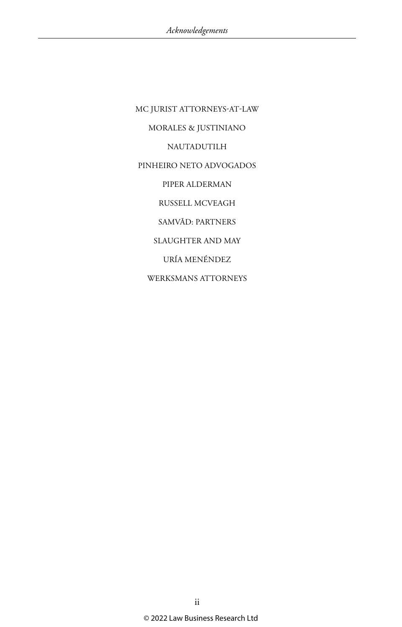MC JURIST ATTORNEYS-AT-LAW MORALES & JUSTINIANO NAUTADUTILH PINHEIRO NETO ADVOGADOS PIPER ALDERMAN RUSSELL MCVEAGH SAMVĀD: PARTNERS SLAUGHTER AND MAY URÍA MENÉNDEZ WERKSMANS ATTORNEYS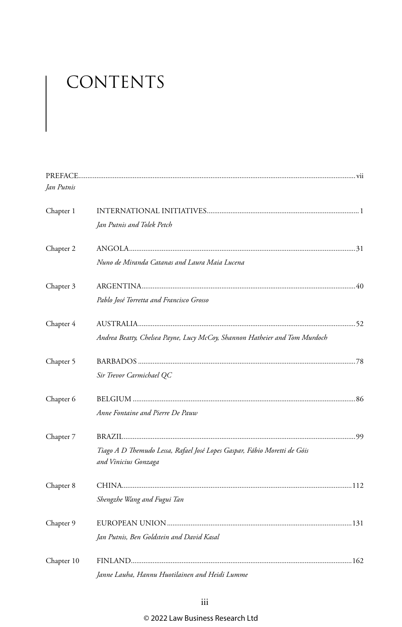# CONTENTS

| Jan Putnis |                                                                            |  |
|------------|----------------------------------------------------------------------------|--|
| Chapter 1  |                                                                            |  |
|            | Jan Putnis and Tolek Petch                                                 |  |
| Chapter 2  |                                                                            |  |
|            | Nuno de Miranda Catanas and Laura Maia Lucena                              |  |
| Chapter 3  |                                                                            |  |
|            | Pablo José Torretta and Francisco Grosso                                   |  |
| Chapter 4  |                                                                            |  |
|            | Andrea Beatty, Chelsea Payne, Lucy McCoy, Shannon Hatheier and Tom Murdoch |  |
| Chapter 5  |                                                                            |  |
|            | Sir Trevor Carmichael QC                                                   |  |
| Chapter 6  |                                                                            |  |
|            | Anne Fontaine and Pierre De Pauw                                           |  |
| Chapter 7  |                                                                            |  |
|            | Tiago A D Themudo Lessa, Rafael José Lopes Gaspar, Fábio Moretti de Góis   |  |
|            | and Vinicius Gonzaga                                                       |  |
| Chapter 8  |                                                                            |  |
|            | Shengzhe Wang and Fugui Tan                                                |  |
| Chapter 9  |                                                                            |  |
|            | Jan Putnis, Ben Goldstein and David Kasal                                  |  |
| Chapter 10 |                                                                            |  |
|            | Janne Lauha, Hannu Huotilainen and Heidi Lumme                             |  |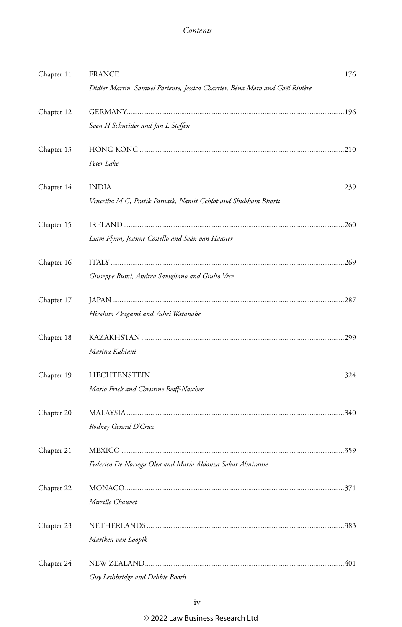| Chapter 11 |                                                                              |  |
|------------|------------------------------------------------------------------------------|--|
|            | Didier Martin, Samuel Pariente, Jessica Chartier, Béna Mara and Gaël Rivière |  |
| Chapter 12 |                                                                              |  |
|            | Sven H Schneider and Jan L Steffen                                           |  |
| Chapter 13 |                                                                              |  |
|            | Peter Lake                                                                   |  |
| Chapter 14 |                                                                              |  |
|            | Vineetha M G, Pratik Patnaik, Namit Gehlot and Shubham Bharti                |  |
| Chapter 15 |                                                                              |  |
|            | Liam Flynn, Joanne Costello and Seán van Haaster                             |  |
| Chapter 16 |                                                                              |  |
|            | Giuseppe Rumi, Andrea Savigliano and Giulio Vece                             |  |
| Chapter 17 |                                                                              |  |
|            | Hirohito Akagami and Yuhei Watanabe                                          |  |
| Chapter 18 |                                                                              |  |
|            | Marina Kahiani                                                               |  |
| Chapter 19 |                                                                              |  |
|            | Mario Frick and Christine Reiff-Näscher                                      |  |
| Chapter 20 |                                                                              |  |
|            | Rodney Gerard D'Cruz                                                         |  |
| Chapter 21 |                                                                              |  |
|            | Federico De Noriega Olea and María Aldonza Sakar Almirante                   |  |
| Chapter 22 |                                                                              |  |
|            | <i>Mireille Chauvet</i>                                                      |  |
| Chapter 23 |                                                                              |  |
|            | Mariken van Loopik                                                           |  |
| Chapter 24 |                                                                              |  |
|            | Guy Lethbridge and Debbie Booth                                              |  |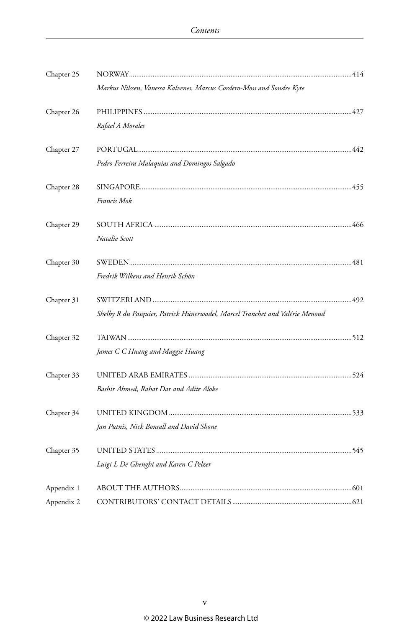| Chapter 25 |                                                                              |  |
|------------|------------------------------------------------------------------------------|--|
|            | Markus Nilssen, Vanessa Kalvenes, Marcus Cordero-Moss and Sondre Kyte        |  |
| Chapter 26 |                                                                              |  |
|            | Rafael A Morales                                                             |  |
| Chapter 27 |                                                                              |  |
|            | Pedro Ferreira Malaquias and Domingos Salgado                                |  |
| Chapter 28 |                                                                              |  |
|            | Francis Mok                                                                  |  |
| Chapter 29 |                                                                              |  |
|            | Natalie Scott                                                                |  |
| Chapter 30 |                                                                              |  |
|            | Fredrik Wilkens and Henrik Schön                                             |  |
| Chapter 31 |                                                                              |  |
|            | Shelby R du Pasquier, Patrick Hünerwadel, Marcel Tranchet and Valérie Menoud |  |
| Chapter 32 |                                                                              |  |
|            | James C C Huang and Maggie Huang                                             |  |
| Chapter 33 |                                                                              |  |
|            | Bashir Ahmed, Rahat Dar and Adite Aloke                                      |  |
| Chapter 34 |                                                                              |  |
|            | Jan Putnis, Nick Bonsall and David Shone                                     |  |
| Chapter 35 |                                                                              |  |
|            | Luigi L De Ghenghi and Karen C Pelzer                                        |  |
| Appendix 1 |                                                                              |  |
| Appendix 2 |                                                                              |  |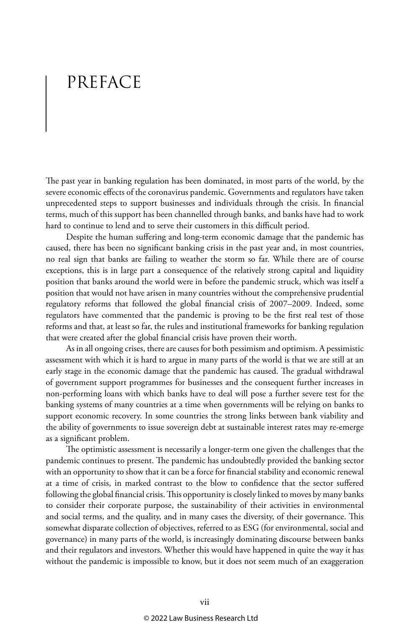# PREFACE

The past year in banking regulation has been dominated, in most parts of the world, by the severe economic effects of the coronavirus pandemic. Governments and regulators have taken unprecedented steps to support businesses and individuals through the crisis. In financial terms, much of this support has been channelled through banks, and banks have had to work hard to continue to lend and to serve their customers in this difficult period.

Despite the human suffering and long-term economic damage that the pandemic has caused, there has been no significant banking crisis in the past year and, in most countries, no real sign that banks are failing to weather the storm so far. While there are of course exceptions, this is in large part a consequence of the relatively strong capital and liquidity position that banks around the world were in before the pandemic struck, which was itself a position that would not have arisen in many countries without the comprehensive prudential regulatory reforms that followed the global financial crisis of 2007–2009. Indeed, some regulators have commented that the pandemic is proving to be the first real test of those reforms and that, at least so far, the rules and institutional frameworks for banking regulation that were created after the global financial crisis have proven their worth.

As in all ongoing crises, there are causes for both pessimism and optimism. A pessimistic assessment with which it is hard to argue in many parts of the world is that we are still at an early stage in the economic damage that the pandemic has caused. The gradual withdrawal of government support programmes for businesses and the consequent further increases in non-performing loans with which banks have to deal will pose a further severe test for the banking systems of many countries at a time when governments will be relying on banks to support economic recovery. In some countries the strong links between bank viability and the ability of governments to issue sovereign debt at sustainable interest rates may re-emerge as a significant problem.

The optimistic assessment is necessarily a longer-term one given the challenges that the pandemic continues to present. The pandemic has undoubtedly provided the banking sector with an opportunity to show that it can be a force for financial stability and economic renewal at a time of crisis, in marked contrast to the blow to confidence that the sector suffered following the global financial crisis. This opportunity is closely linked to moves by many banks to consider their corporate purpose, the sustainability of their activities in environmental and social terms, and the quality, and in many cases the diversity, of their governance. This somewhat disparate collection of objectives, referred to as ESG (for environmental, social and governance) in many parts of the world, is increasingly dominating discourse between banks and their regulators and investors. Whether this would have happened in quite the way it has without the pandemic is impossible to know, but it does not seem much of an exaggeration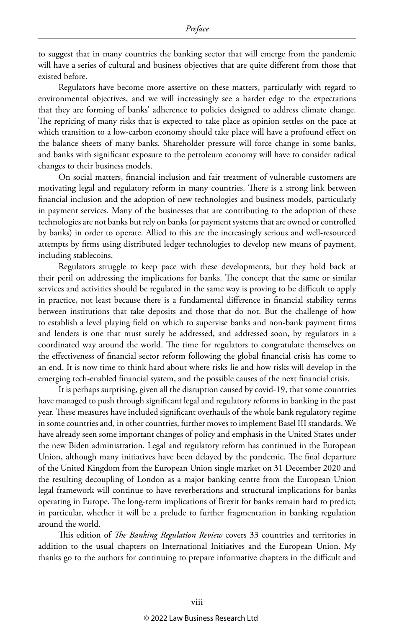to suggest that in many countries the banking sector that will emerge from the pandemic will have a series of cultural and business objectives that are quite different from those that existed before.

Regulators have become more assertive on these matters, particularly with regard to environmental objectives, and we will increasingly see a harder edge to the expectations that they are forming of banks' adherence to policies designed to address climate change. The repricing of many risks that is expected to take place as opinion settles on the pace at which transition to a low-carbon economy should take place will have a profound effect on the balance sheets of many banks. Shareholder pressure will force change in some banks, and banks with significant exposure to the petroleum economy will have to consider radical changes to their business models.

On social matters, financial inclusion and fair treatment of vulnerable customers are motivating legal and regulatory reform in many countries. There is a strong link between financial inclusion and the adoption of new technologies and business models, particularly in payment services. Many of the businesses that are contributing to the adoption of these technologies are not banks but rely on banks (or payment systems that are owned or controlled by banks) in order to operate. Allied to this are the increasingly serious and well-resourced attempts by firms using distributed ledger technologies to develop new means of payment, including stablecoins.

Regulators struggle to keep pace with these developments, but they hold back at their peril on addressing the implications for banks. The concept that the same or similar services and activities should be regulated in the same way is proving to be difficult to apply in practice, not least because there is a fundamental difference in financial stability terms between institutions that take deposits and those that do not. But the challenge of how to establish a level playing field on which to supervise banks and non-bank payment firms and lenders is one that must surely be addressed, and addressed soon, by regulators in a coordinated way around the world. The time for regulators to congratulate themselves on the effectiveness of financial sector reform following the global financial crisis has come to an end. It is now time to think hard about where risks lie and how risks will develop in the emerging tech-enabled financial system, and the possible causes of the next financial crisis.

It is perhaps surprising, given all the disruption caused by covid-19, that some countries have managed to push through significant legal and regulatory reforms in banking in the past year. These measures have included significant overhauls of the whole bank regulatory regime in some countries and, in other countries, further moves to implement Basel III standards. We have already seen some important changes of policy and emphasis in the United States under the new Biden administration. Legal and regulatory reform has continued in the European Union, although many initiatives have been delayed by the pandemic. The final departure of the United Kingdom from the European Union single market on 31 December 2020 and the resulting decoupling of London as a major banking centre from the European Union legal framework will continue to have reverberations and structural implications for banks operating in Europe. The long-term implications of Brexit for banks remain hard to predict; in particular, whether it will be a prelude to further fragmentation in banking regulation around the world.

This edition of *The Banking Regulation Review* covers 33 countries and territories in addition to the usual chapters on International Initiatives and the European Union. My thanks go to the authors for continuing to prepare informative chapters in the difficult and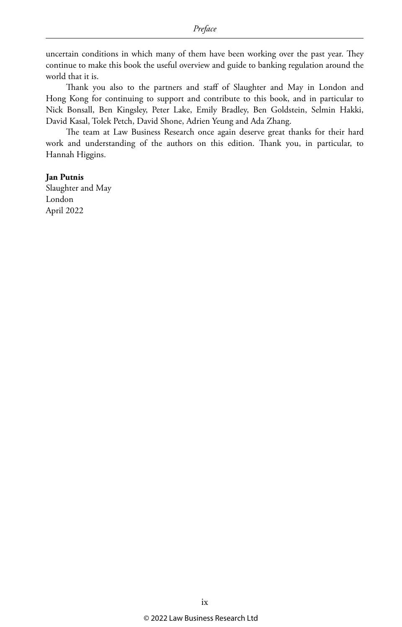uncertain conditions in which many of them have been working over the past year. They continue to make this book the useful overview and guide to banking regulation around the world that it is.

Thank you also to the partners and staff of Slaughter and May in London and Hong Kong for continuing to support and contribute to this book, and in particular to Nick Bonsall, Ben Kingsley, Peter Lake, Emily Bradley, Ben Goldstein, Selmin Hakki, David Kasal, Tolek Petch, David Shone, Adrien Yeung and Ada Zhang.

The team at Law Business Research once again deserve great thanks for their hard work and understanding of the authors on this edition. Thank you, in particular, to Hannah Higgins.

#### **Jan Putnis**

Slaughter and May London April 2022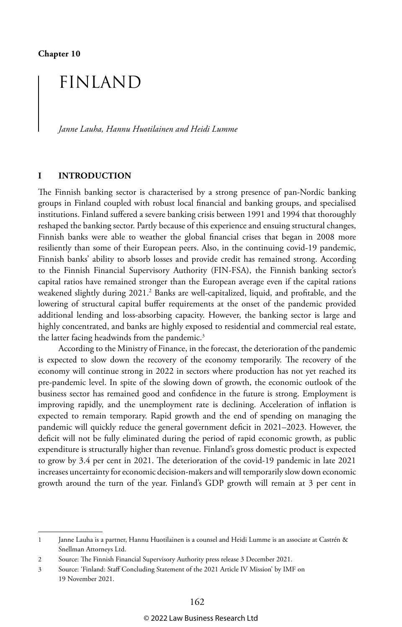**Chapter 10**

### FINLAND

*Janne Lauha, Hannu Huotilainen and Heidi Lumme*

#### **I INTRODUCTION**

The Finnish banking sector is characterised by a strong presence of pan-Nordic banking groups in Finland coupled with robust local financial and banking groups, and specialised institutions. Finland suffered a severe banking crisis between 1991 and 1994 that thoroughly reshaped the banking sector. Partly because of this experience and ensuing structural changes, Finnish banks were able to weather the global financial crises that began in 2008 more resiliently than some of their European peers. Also, in the continuing covid-19 pandemic, Finnish banks' ability to absorb losses and provide credit has remained strong. According to the Finnish Financial Supervisory Authority (FIN-FSA), the Finnish banking sector's capital ratios have remained stronger than the European average even if the capital rations weakened slightly during 2021.<sup>2</sup> Banks are well-capitalized, liquid, and profitable, and the lowering of structural capital buffer requirements at the onset of the pandemic provided additional lending and loss-absorbing capacity. However, the banking sector is large and highly concentrated, and banks are highly exposed to residential and commercial real estate, the latter facing headwinds from the pandemic.<sup>3</sup>

According to the Ministry of Finance, in the forecast, the deterioration of the pandemic is expected to slow down the recovery of the economy temporarily. The recovery of the economy will continue strong in 2022 in sectors where production has not yet reached its pre-pandemic level. In spite of the slowing down of growth, the economic outlook of the business sector has remained good and confidence in the future is strong. Employment is improving rapidly, and the unemployment rate is declining. Acceleration of inflation is expected to remain temporary. Rapid growth and the end of spending on managing the pandemic will quickly reduce the general government deficit in 2021–2023. However, the deficit will not be fully eliminated during the period of rapid economic growth, as public expenditure is structurally higher than revenue. Finland's gross domestic product is expected to grow by 3.4 per cent in 2021. The deterioration of the covid-19 pandemic in late 2021 increases uncertainty for economic decision-makers and will temporarily slow down economic growth around the turn of the year. Finland's GDP growth will remain at 3 per cent in

<sup>1</sup> Janne Lauha is a partner, Hannu Huotilainen is a counsel and Heidi Lumme is an associate at Castrén & Snellman Attorneys Ltd.

<sup>2</sup> Source: The Finnish Financial Supervisory Authority press release 3 December 2021.

<sup>3</sup> Source: 'Finland: Staff Concluding Statement of the 2021 Article IV Mission' by IMF on 19 November 2021.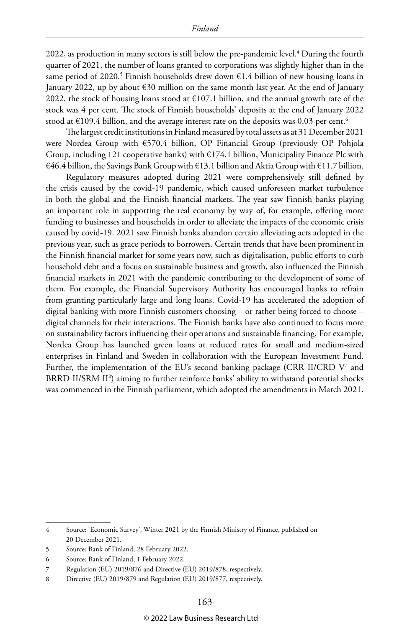2022, as production in many sectors is still below the pre-pandemic level.<sup>4</sup> During the fourth quarter of 2021, the number of loans granted to corporations was slightly higher than in the same period of 2020.<sup>5</sup> Finnish households drew down  $\epsilon$ 1.4 billion of new housing loans in January 2022, up by about  $\epsilon$ 30 million on the same month last year. At the end of January 2022, the stock of housing loans stood at  $€107.1$  billion, and the annual growth rate of the stock was 4 per cent. The stock of Finnish households' deposits at the end of January 2022 stood at  $E109.4$  billion, and the average interest rate on the deposits was 0.03 per cent.<sup>6</sup>

The largest credit institutions in Finland measured by total assets as at 31 December 2021 were Nordea Group with €570.4 billion, OP Financial Group (previously OP Pohjola Group, including 121 cooperative banks) with  $E174.1$  billion, Municipality Finance Plc with €46.4 billion, the Savings Bank Group with €13.1 billion and Aktia Group with €11.7 billion.

Regulatory measures adopted during 2021 were comprehensively still defined by the crisis caused by the covid-19 pandemic, which caused unforeseen market turbulence in both the global and the Finnish financial markets. The year saw Finnish banks playing an important role in supporting the real economy by way of, for example, offering more funding to businesses and households in order to alleviate the impacts of the economic crisis caused by covid-19. 2021 saw Finnish banks abandon certain alleviating acts adopted in the previous year, such as grace periods to borrowers. Certain trends that have been prominent in the Finnish financial market for some years now, such as digitalisation, public efforts to curb household debt and a focus on sustainable business and growth, also influenced the Finnish financial markets in 2021 with the pandemic contributing to the development of some of them. For example, the Financial Supervisory Authority has encouraged banks to refrain from granting particularly large and long loans. Covid-19 has accelerated the adoption of digital banking with more Finnish customers choosing – or rather being forced to choose – digital channels for their interactions. The Finnish banks have also continued to focus more on sustainability factors influencing their operations and sustainable financing. For example, Nordea Group has launched green loans at reduced rates for small and medium-sized enterprises in Finland and Sweden in collaboration with the European Investment Fund. Further, the implementation of the EU's second banking package (CRR II/CRD V $^{\prime}$  and BRRD II/SRM II<sup>8</sup>) aiming to further reinforce banks' ability to withstand potential shocks was commenced in the Finnish parliament, which adopted the amendments in March 2021.

<sup>4</sup> Source: 'Economic Survey', Winter 2021 by the Finnish Ministry of Finance, published on 20 December 2021.

<sup>5</sup> Source: Bank of Finland, 28 February 2022.

<sup>6</sup> Source: Bank of Finland, 1 February 2022.

<sup>7</sup> Regulation (EU) 2019/876 and Directive (EU) 2019/878, respectively.

<sup>8</sup> Directive (EU) 2019/879 and Regulation (EU) 2019/877, respectively.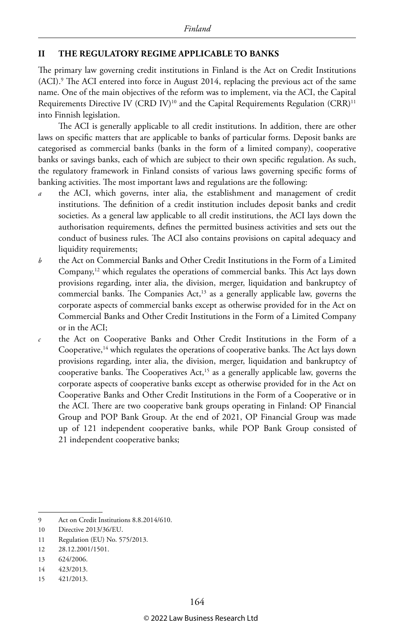#### **II THE REGULATORY REGIME APPLICABLE TO BANKS**

The primary law governing credit institutions in Finland is the Act on Credit Institutions (ACI).9 The ACI entered into force in August 2014, replacing the previous act of the same name. One of the main objectives of the reform was to implement, via the ACI, the Capital Requirements Directive IV (CRD IV)<sup>10</sup> and the Capital Requirements Regulation (CRR)<sup>11</sup> into Finnish legislation.

The ACI is generally applicable to all credit institutions. In addition, there are other laws on specific matters that are applicable to banks of particular forms. Deposit banks are categorised as commercial banks (banks in the form of a limited company), cooperative banks or savings banks, each of which are subject to their own specific regulation. As such, the regulatory framework in Finland consists of various laws governing specific forms of banking activities. The most important laws and regulations are the following:

- the ACI, which governs, inter alia, the establishment and management of credit institutions. The definition of a credit institution includes deposit banks and credit societies. As a general law applicable to all credit institutions, the ACI lays down the authorisation requirements, defines the permitted business activities and sets out the conduct of business rules. The ACI also contains provisions on capital adequacy and liquidity requirements;
- *b* the Act on Commercial Banks and Other Credit Institutions in the Form of a Limited Company,12 which regulates the operations of commercial banks. This Act lays down provisions regarding, inter alia, the division, merger, liquidation and bankruptcy of commercial banks. The Companies Act,<sup>13</sup> as a generally applicable law, governs the corporate aspects of commercial banks except as otherwise provided for in the Act on Commercial Banks and Other Credit Institutions in the Form of a Limited Company or in the ACI;
- *c* the Act on Cooperative Banks and Other Credit Institutions in the Form of a Cooperative,<sup>14</sup> which regulates the operations of cooperative banks. The Act lays down provisions regarding, inter alia, the division, merger, liquidation and bankruptcy of cooperative banks. The Cooperatives  $Act<sub>3</sub><sup>15</sup>$  as a generally applicable law, governs the corporate aspects of cooperative banks except as otherwise provided for in the Act on Cooperative Banks and Other Credit Institutions in the Form of a Cooperative or in the ACI. There are two cooperative bank groups operating in Finland: OP Financial Group and POP Bank Group. At the end of 2021, OP Financial Group was made up of 121 independent cooperative banks, while POP Bank Group consisted of 21 independent cooperative banks;

<sup>9</sup> Act on Credit Institutions 8.8.2014/610.

<sup>10</sup> Directive 2013/36/EU.

<sup>11</sup> Regulation (EU) No. 575/2013.

<sup>12</sup> 28.12.2001/1501.

<sup>13</sup> 624/2006.

<sup>14</sup> 423/2013.

<sup>15</sup> 421/2013.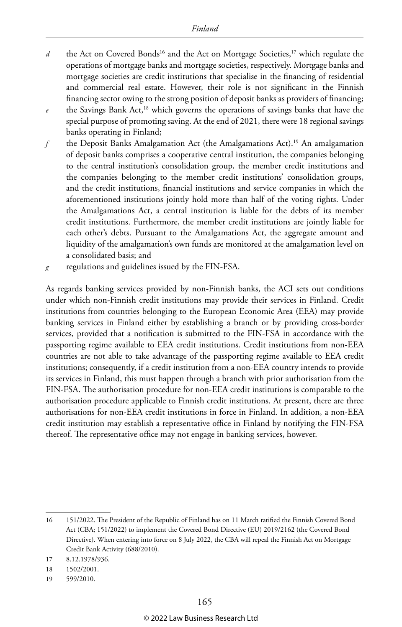- *d* the Act on Covered Bonds<sup>16</sup> and the Act on Mortgage Societies,<sup>17</sup> which regulate the operations of mortgage banks and mortgage societies, respectively. Mortgage banks and mortgage societies are credit institutions that specialise in the financing of residential and commercial real estate. However, their role is not significant in the Finnish financing sector owing to the strong position of deposit banks as providers of financing; *e* the Savings Bank Act,18 which governs the operations of savings banks that have the special purpose of promoting saving. At the end of 2021, there were 18 regional savings banks operating in Finland;
- *f* the Deposit Banks Amalgamation Act (the Amalgamations Act).19 An amalgamation of deposit banks comprises a cooperative central institution, the companies belonging to the central institution's consolidation group, the member credit institutions and the companies belonging to the member credit institutions' consolidation groups, and the credit institutions, financial institutions and service companies in which the aforementioned institutions jointly hold more than half of the voting rights. Under the Amalgamations Act, a central institution is liable for the debts of its member credit institutions. Furthermore, the member credit institutions are jointly liable for each other's debts. Pursuant to the Amalgamations Act, the aggregate amount and liquidity of the amalgamation's own funds are monitored at the amalgamation level on a consolidated basis; and
- *g* regulations and guidelines issued by the FIN-FSA.

As regards banking services provided by non-Finnish banks, the ACI sets out conditions under which non-Finnish credit institutions may provide their services in Finland. Credit institutions from countries belonging to the European Economic Area (EEA) may provide banking services in Finland either by establishing a branch or by providing cross-border services, provided that a notification is submitted to the FIN-FSA in accordance with the passporting regime available to EEA credit institutions. Credit institutions from non-EEA countries are not able to take advantage of the passporting regime available to EEA credit institutions; consequently, if a credit institution from a non-EEA country intends to provide its services in Finland, this must happen through a branch with prior authorisation from the FIN-FSA. The authorisation procedure for non-EEA credit institutions is comparable to the authorisation procedure applicable to Finnish credit institutions. At present, there are three authorisations for non-EEA credit institutions in force in Finland. In addition, a non-EEA credit institution may establish a representative office in Finland by notifying the FIN-FSA thereof. The representative office may not engage in banking services, however.

<sup>16</sup> 151/2022. The President of the Republic of Finland has on 11 March ratified the Finnish Covered Bond Act (CBA; 151/2022) to implement the Covered Bond Directive (EU) 2019/2162 (the Covered Bond Directive). When entering into force on 8 July 2022, the CBA will repeal the Finnish Act on Mortgage Credit Bank Activity (688/2010).

<sup>17</sup> 8.12.1978/936.

<sup>18</sup> 1502/2001.

<sup>19</sup> 599/2010.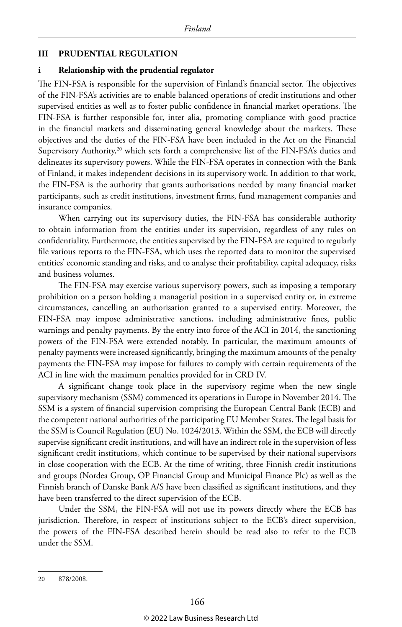#### **III PRUDENTIAL REGULATION**

#### **i Relationship with the prudential regulator**

The FIN-FSA is responsible for the supervision of Finland's financial sector. The objectives of the FIN-FSA's activities are to enable balanced operations of credit institutions and other supervised entities as well as to foster public confidence in financial market operations. The FIN-FSA is further responsible for, inter alia, promoting compliance with good practice in the financial markets and disseminating general knowledge about the markets. These objectives and the duties of the FIN-FSA have been included in the Act on the Financial Supervisory Authority,<sup>20</sup> which sets forth a comprehensive list of the FIN-FSA's duties and delineates its supervisory powers. While the FIN-FSA operates in connection with the Bank of Finland, it makes independent decisions in its supervisory work. In addition to that work, the FIN-FSA is the authority that grants authorisations needed by many financial market participants, such as credit institutions, investment firms, fund management companies and insurance companies.

When carrying out its supervisory duties, the FIN-FSA has considerable authority to obtain information from the entities under its supervision, regardless of any rules on confidentiality. Furthermore, the entities supervised by the FIN-FSA are required to regularly file various reports to the FIN-FSA, which uses the reported data to monitor the supervised entities' economic standing and risks, and to analyse their profitability, capital adequacy, risks and business volumes.

The FIN-FSA may exercise various supervisory powers, such as imposing a temporary prohibition on a person holding a managerial position in a supervised entity or, in extreme circumstances, cancelling an authorisation granted to a supervised entity. Moreover, the FIN-FSA may impose administrative sanctions, including administrative fines, public warnings and penalty payments. By the entry into force of the ACI in 2014, the sanctioning powers of the FIN-FSA were extended notably. In particular, the maximum amounts of penalty payments were increased significantly, bringing the maximum amounts of the penalty payments the FIN-FSA may impose for failures to comply with certain requirements of the ACI in line with the maximum penalties provided for in CRD IV.

A significant change took place in the supervisory regime when the new single supervisory mechanism (SSM) commenced its operations in Europe in November 2014. The SSM is a system of financial supervision comprising the European Central Bank (ECB) and the competent national authorities of the participating EU Member States. The legal basis for the SSM is Council Regulation (EU) No. 1024/2013. Within the SSM, the ECB will directly supervise significant credit institutions, and will have an indirect role in the supervision of less significant credit institutions, which continue to be supervised by their national supervisors in close cooperation with the ECB. At the time of writing, three Finnish credit institutions and groups (Nordea Group, OP Financial Group and Municipal Finance Plc) as well as the Finnish branch of Danske Bank A/S have been classified as significant institutions, and they have been transferred to the direct supervision of the ECB.

Under the SSM, the FIN-FSA will not use its powers directly where the ECB has jurisdiction. Therefore, in respect of institutions subject to the ECB's direct supervision, the powers of the FIN-FSA described herein should be read also to refer to the ECB under the SSM.

20 878/2008.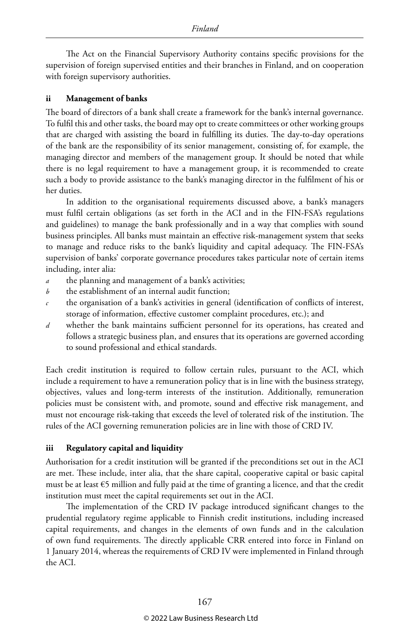The Act on the Financial Supervisory Authority contains specific provisions for the supervision of foreign supervised entities and their branches in Finland, and on cooperation with foreign supervisory authorities.

#### **ii Management of banks**

The board of directors of a bank shall create a framework for the bank's internal governance. To fulfil this and other tasks, the board may opt to create committees or other working groups that are charged with assisting the board in fulfilling its duties. The day-to-day operations of the bank are the responsibility of its senior management, consisting of, for example, the managing director and members of the management group. It should be noted that while there is no legal requirement to have a management group, it is recommended to create such a body to provide assistance to the bank's managing director in the fulfilment of his or her duties.

In addition to the organisational requirements discussed above, a bank's managers must fulfil certain obligations (as set forth in the ACI and in the FIN-FSA's regulations and guidelines) to manage the bank professionally and in a way that complies with sound business principles. All banks must maintain an effective risk-management system that seeks to manage and reduce risks to the bank's liquidity and capital adequacy. The FIN-FSA's supervision of banks' corporate governance procedures takes particular note of certain items including, inter alia:

- *a* the planning and management of a bank's activities;
- *b* the establishment of an internal audit function;
- *c* the organisation of a bank's activities in general (identification of conflicts of interest, storage of information, effective customer complaint procedures, etc.); and
- *d* whether the bank maintains sufficient personnel for its operations, has created and follows a strategic business plan, and ensures that its operations are governed according to sound professional and ethical standards.

Each credit institution is required to follow certain rules, pursuant to the ACI, which include a requirement to have a remuneration policy that is in line with the business strategy, objectives, values and long-term interests of the institution. Additionally, remuneration policies must be consistent with, and promote, sound and effective risk management, and must not encourage risk-taking that exceeds the level of tolerated risk of the institution. The rules of the ACI governing remuneration policies are in line with those of CRD IV.

#### **iii Regulatory capital and liquidity**

Authorisation for a credit institution will be granted if the preconditions set out in the ACI are met. These include, inter alia, that the share capital, cooperative capital or basic capital must be at least  $\epsilon$ 5 million and fully paid at the time of granting a licence, and that the credit institution must meet the capital requirements set out in the ACI.

The implementation of the CRD IV package introduced significant changes to the prudential regulatory regime applicable to Finnish credit institutions, including increased capital requirements, and changes in the elements of own funds and in the calculation of own fund requirements. The directly applicable CRR entered into force in Finland on 1 January 2014, whereas the requirements of CRD IV were implemented in Finland through the ACI.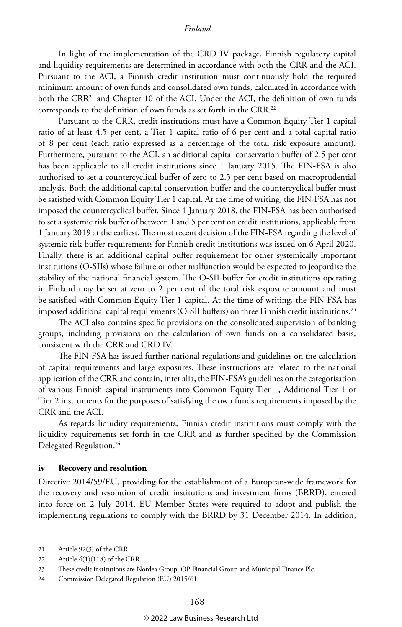In light of the implementation of the CRD IV package, Finnish regulatory capital and liquidity requirements are determined in accordance with both the CRR and the ACI. Pursuant to the ACI, a Finnish credit institution must continuously hold the required minimum amount of own funds and consolidated own funds, calculated in accordance with both the CRR<sup>21</sup> and Chapter 10 of the ACI. Under the ACI, the definition of own funds corresponds to the definition of own funds as set forth in the CRR.22

Pursuant to the CRR, credit institutions must have a Common Equity Tier 1 capital ratio of at least 4.5 per cent, a Tier 1 capital ratio of 6 per cent and a total capital ratio of 8 per cent (each ratio expressed as a percentage of the total risk exposure amount). Furthermore, pursuant to the ACI, an additional capital conservation buffer of 2.5 per cent has been applicable to all credit institutions since 1 January 2015. The FIN-FSA is also authorised to set a countercyclical buffer of zero to 2.5 per cent based on macroprudential analysis. Both the additional capital conservation buffer and the countercyclical buffer must be satisfied with Common Equity Tier 1 capital. At the time of writing, the FIN-FSA has not imposed the countercyclical buffer. Since 1 January 2018, the FIN-FSA has been authorised to set a systemic risk buffer of between 1 and 5 per cent on credit institutions, applicable from 1 January 2019 at the earliest. The most recent decision of the FIN-FSA regarding the level of systemic risk buffer requirements for Finnish credit institutions was issued on 6 April 2020. Finally, there is an additional capital buffer requirement for other systemically important institutions (O-SIIs) whose failure or other malfunction would be expected to jeopardise the stability of the national financial system. The O-SII buffer for credit institutions operating in Finland may be set at zero to 2 per cent of the total risk exposure amount and must be satisfied with Common Equity Tier 1 capital. At the time of writing, the FIN-FSA has imposed additional capital requirements (O-SII buffers) on three Finnish credit institutions.<sup>23</sup>

The ACI also contains specific provisions on the consolidated supervision of banking groups, including provisions on the calculation of own funds on a consolidated basis, consistent with the CRR and CRD IV.

The FIN-FSA has issued further national regulations and guidelines on the calculation of capital requirements and large exposures. These instructions are related to the national application of the CRR and contain, inter alia, the FIN-FSA's guidelines on the categorisation of various Finnish capital instruments into Common Equity Tier 1, Additional Tier 1 or Tier 2 instruments for the purposes of satisfying the own funds requirements imposed by the CRR and the ACI.

As regards liquidity requirements, Finnish credit institutions must comply with the liquidity requirements set forth in the CRR and as further specified by the Commission Delegated Regulation.<sup>24</sup>

#### **iv Recovery and resolution**

Directive 2014/59/EU, providing for the establishment of a European-wide framework for the recovery and resolution of credit institutions and investment firms (BRRD), entered into force on 2 July 2014. EU Member States were required to adopt and publish the implementing regulations to comply with the BRRD by 31 December 2014. In addition,

<sup>21</sup> Article 92(3) of the CRR.

<sup>22</sup> Article 4(1)(118) of the CRR.

<sup>23</sup> These credit institutions are Nordea Group, OP Financial Group and Municipal Finance Plc.

<sup>24</sup> Commission Delegated Regulation (EU) 2015/61.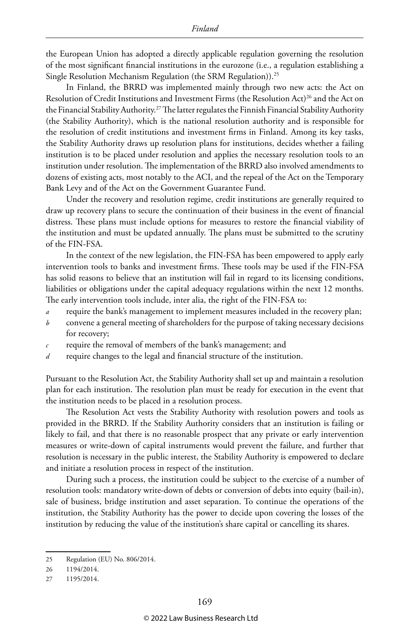the European Union has adopted a directly applicable regulation governing the resolution of the most significant financial institutions in the eurozone (i.e., a regulation establishing a Single Resolution Mechanism Regulation (the SRM Regulation)).25

In Finland, the BRRD was implemented mainly through two new acts: the Act on Resolution of Credit Institutions and Investment Firms (the Resolution Act)<sup>26</sup> and the Act on the Financial Stability Authority.<sup>27</sup> The latter regulates the Finnish Financial Stability Authority (the Stability Authority), which is the national resolution authority and is responsible for the resolution of credit institutions and investment firms in Finland. Among its key tasks, the Stability Authority draws up resolution plans for institutions, decides whether a failing institution is to be placed under resolution and applies the necessary resolution tools to an institution under resolution. The implementation of the BRRD also involved amendments to dozens of existing acts, most notably to the ACI, and the repeal of the Act on the Temporary Bank Levy and of the Act on the Government Guarantee Fund.

Under the recovery and resolution regime, credit institutions are generally required to draw up recovery plans to secure the continuation of their business in the event of financial distress. These plans must include options for measures to restore the financial viability of the institution and must be updated annually. The plans must be submitted to the scrutiny of the FIN-FSA.

In the context of the new legislation, the FIN-FSA has been empowered to apply early intervention tools to banks and investment firms. These tools may be used if the FIN-FSA has solid reasons to believe that an institution will fail in regard to its licensing conditions, liabilities or obligations under the capital adequacy regulations within the next 12 months. The early intervention tools include, inter alia, the right of the FIN-FSA to:

- *a* require the bank's management to implement measures included in the recovery plan;
- *b* convene a general meeting of shareholders for the purpose of taking necessary decisions for recovery;
- *c* require the removal of members of the bank's management; and
- *d* require changes to the legal and financial structure of the institution.

Pursuant to the Resolution Act, the Stability Authority shall set up and maintain a resolution plan for each institution. The resolution plan must be ready for execution in the event that the institution needs to be placed in a resolution process.

The Resolution Act vests the Stability Authority with resolution powers and tools as provided in the BRRD. If the Stability Authority considers that an institution is failing or likely to fail, and that there is no reasonable prospect that any private or early intervention measures or write-down of capital instruments would prevent the failure, and further that resolution is necessary in the public interest, the Stability Authority is empowered to declare and initiate a resolution process in respect of the institution.

During such a process, the institution could be subject to the exercise of a number of resolution tools: mandatory write-down of debts or conversion of debts into equity (bail-in), sale of business, bridge institution and asset separation. To continue the operations of the institution, the Stability Authority has the power to decide upon covering the losses of the institution by reducing the value of the institution's share capital or cancelling its shares.

<sup>25</sup> Regulation (EU) No. 806/2014.

<sup>26</sup> 1194/2014.

<sup>27</sup> 1195/2014.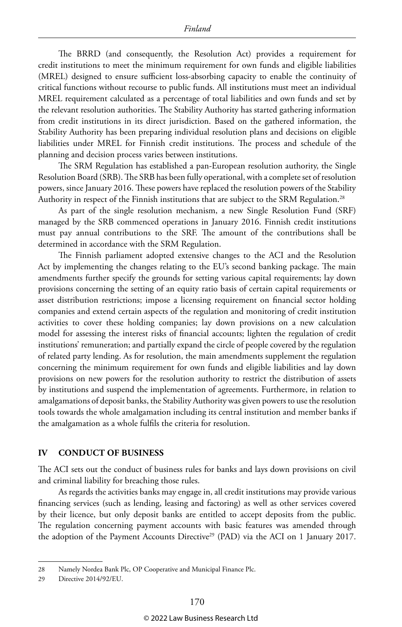The BRRD (and consequently, the Resolution Act) provides a requirement for credit institutions to meet the minimum requirement for own funds and eligible liabilities (MREL) designed to ensure sufficient loss-absorbing capacity to enable the continuity of critical functions without recourse to public funds. All institutions must meet an individual MREL requirement calculated as a percentage of total liabilities and own funds and set by the relevant resolution authorities. The Stability Authority has started gathering information from credit institutions in its direct jurisdiction. Based on the gathered information, the Stability Authority has been preparing individual resolution plans and decisions on eligible liabilities under MREL for Finnish credit institutions. The process and schedule of the planning and decision process varies between institutions.

The SRM Regulation has established a pan-European resolution authority, the Single Resolution Board (SRB). The SRB has been fully operational, with a complete set of resolution powers, since January 2016. These powers have replaced the resolution powers of the Stability Authority in respect of the Finnish institutions that are subject to the SRM Regulation.<sup>28</sup>

As part of the single resolution mechanism, a new Single Resolution Fund (SRF) managed by the SRB commenced operations in January 2016. Finnish credit institutions must pay annual contributions to the SRF. The amount of the contributions shall be determined in accordance with the SRM Regulation.

The Finnish parliament adopted extensive changes to the ACI and the Resolution Act by implementing the changes relating to the EU's second banking package. The main amendments further specify the grounds for setting various capital requirements; lay down provisions concerning the setting of an equity ratio basis of certain capital requirements or asset distribution restrictions; impose a licensing requirement on financial sector holding companies and extend certain aspects of the regulation and monitoring of credit institution activities to cover these holding companies; lay down provisions on a new calculation model for assessing the interest risks of financial accounts; lighten the regulation of credit institutions' remuneration; and partially expand the circle of people covered by the regulation of related party lending. As for resolution, the main amendments supplement the regulation concerning the minimum requirement for own funds and eligible liabilities and lay down provisions on new powers for the resolution authority to restrict the distribution of assets by institutions and suspend the implementation of agreements. Furthermore, in relation to amalgamations of deposit banks, the Stability Authority was given powers to use the resolution tools towards the whole amalgamation including its central institution and member banks if the amalgamation as a whole fulfils the criteria for resolution.

#### **IV CONDUCT OF BUSINESS**

The ACI sets out the conduct of business rules for banks and lays down provisions on civil and criminal liability for breaching those rules.

As regards the activities banks may engage in, all credit institutions may provide various financing services (such as lending, leasing and factoring) as well as other services covered by their licence, but only deposit banks are entitled to accept deposits from the public. The regulation concerning payment accounts with basic features was amended through the adoption of the Payment Accounts Directive<sup>29</sup> (PAD) via the ACI on 1 January 2017.

<sup>28</sup> Namely Nordea Bank Plc, OP Cooperative and Municipal Finance Plc.

<sup>29</sup> Directive 2014/92/EU.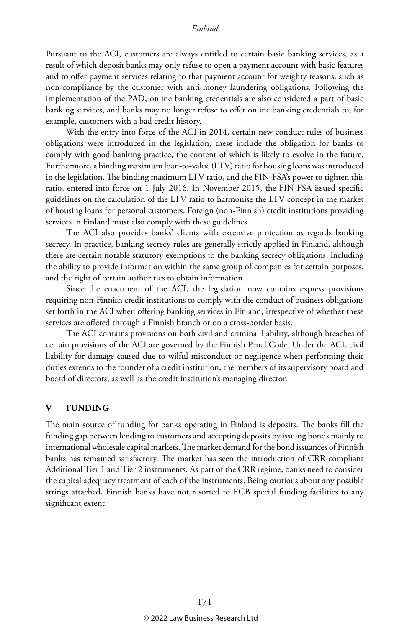Pursuant to the ACI, customers are always entitled to certain basic banking services, as a result of which deposit banks may only refuse to open a payment account with basic features and to offer payment services relating to that payment account for weighty reasons, such as non-compliance by the customer with anti-money laundering obligations. Following the implementation of the PAD, online banking credentials are also considered a part of basic banking services, and banks may no longer refuse to offer online banking credentials to, for example, customers with a bad credit history.

With the entry into force of the ACI in 2014, certain new conduct rules of business obligations were introduced in the legislation; these include the obligation for banks to comply with good banking practice, the content of which is likely to evolve in the future. Furthermore, a binding maximum loan-to-value (LTV) ratio for housing loans was introduced in the legislation. The binding maximum LTV ratio, and the FIN-FSA's power to tighten this ratio, entered into force on 1 July 2016. In November 2015, the FIN-FSA issued specific guidelines on the calculation of the LTV ratio to harmonise the LTV concept in the market of housing loans for personal customers. Foreign (non-Finnish) credit institutions providing services in Finland must also comply with these guidelines.

The ACI also provides banks' clients with extensive protection as regards banking secrecy. In practice, banking secrecy rules are generally strictly applied in Finland, although there are certain notable statutory exemptions to the banking secrecy obligations, including the ability to provide information within the same group of companies for certain purposes, and the right of certain authorities to obtain information.

Since the enactment of the ACI, the legislation now contains express provisions requiring non-Finnish credit institutions to comply with the conduct of business obligations set forth in the ACI when offering banking services in Finland, irrespective of whether these services are offered through a Finnish branch or on a cross-border basis.

The ACI contains provisions on both civil and criminal liability, although breaches of certain provisions of the ACI are governed by the Finnish Penal Code. Under the ACI, civil liability for damage caused due to wilful misconduct or negligence when performing their duties extends to the founder of a credit institution, the members of its supervisory board and board of directors, as well as the credit institution's managing director.

#### **V FUNDING**

The main source of funding for banks operating in Finland is deposits. The banks fill the funding gap between lending to customers and accepting deposits by issuing bonds mainly to international wholesale capital markets. The market demand for the bond issuances of Finnish banks has remained satisfactory. The market has seen the introduction of CRR-compliant Additional Tier 1 and Tier 2 instruments. As part of the CRR regime, banks need to consider the capital adequacy treatment of each of the instruments. Being cautious about any possible strings attached, Finnish banks have not resorted to ECB special funding facilities to any significant extent.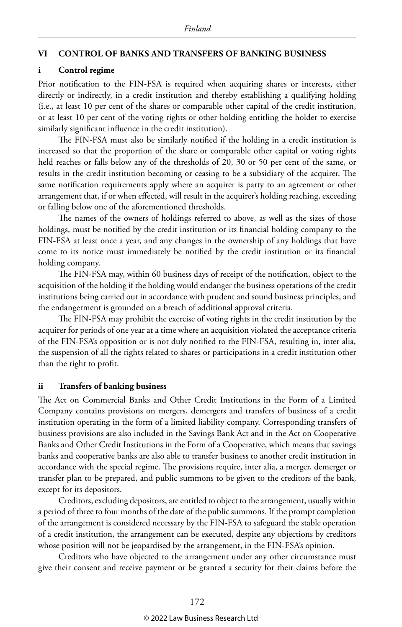#### **VI CONTROL OF BANKS AND TRANSFERS OF BANKING BUSINESS**

#### **i Control regime**

Prior notification to the FIN-FSA is required when acquiring shares or interests, either directly or indirectly, in a credit institution and thereby establishing a qualifying holding (i.e., at least 10 per cent of the shares or comparable other capital of the credit institution, or at least 10 per cent of the voting rights or other holding entitling the holder to exercise similarly significant influence in the credit institution).

The FIN-FSA must also be similarly notified if the holding in a credit institution is increased so that the proportion of the share or comparable other capital or voting rights held reaches or falls below any of the thresholds of 20, 30 or 50 per cent of the same, or results in the credit institution becoming or ceasing to be a subsidiary of the acquirer. The same notification requirements apply where an acquirer is party to an agreement or other arrangement that, if or when effected, will result in the acquirer's holding reaching, exceeding or falling below one of the aforementioned thresholds.

The names of the owners of holdings referred to above, as well as the sizes of those holdings, must be notified by the credit institution or its financial holding company to the FIN-FSA at least once a year, and any changes in the ownership of any holdings that have come to its notice must immediately be notified by the credit institution or its financial holding company.

The FIN-FSA may, within 60 business days of receipt of the notification, object to the acquisition of the holding if the holding would endanger the business operations of the credit institutions being carried out in accordance with prudent and sound business principles, and the endangerment is grounded on a breach of additional approval criteria.

The FIN-FSA may prohibit the exercise of voting rights in the credit institution by the acquirer for periods of one year at a time where an acquisition violated the acceptance criteria of the FIN-FSA's opposition or is not duly notified to the FIN-FSA, resulting in, inter alia, the suspension of all the rights related to shares or participations in a credit institution other than the right to profit.

#### **ii Transfers of banking business**

The Act on Commercial Banks and Other Credit Institutions in the Form of a Limited Company contains provisions on mergers, demergers and transfers of business of a credit institution operating in the form of a limited liability company. Corresponding transfers of business provisions are also included in the Savings Bank Act and in the Act on Cooperative Banks and Other Credit Institutions in the Form of a Cooperative, which means that savings banks and cooperative banks are also able to transfer business to another credit institution in accordance with the special regime. The provisions require, inter alia, a merger, demerger or transfer plan to be prepared, and public summons to be given to the creditors of the bank, except for its depositors.

Creditors, excluding depositors, are entitled to object to the arrangement, usually within a period of three to four months of the date of the public summons. If the prompt completion of the arrangement is considered necessary by the FIN-FSA to safeguard the stable operation of a credit institution, the arrangement can be executed, despite any objections by creditors whose position will not be jeopardised by the arrangement, in the FIN-FSA's opinion.

Creditors who have objected to the arrangement under any other circumstance must give their consent and receive payment or be granted a security for their claims before the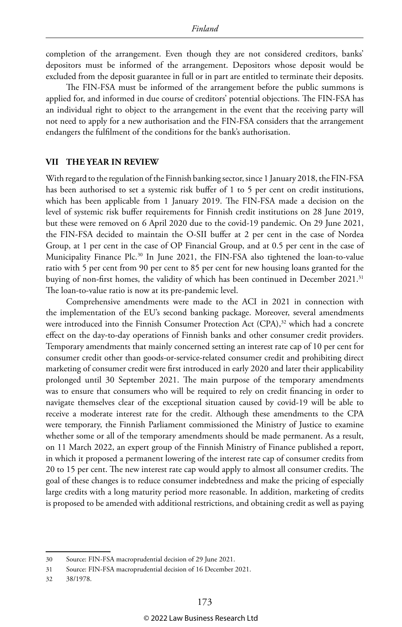completion of the arrangement. Even though they are not considered creditors, banks' depositors must be informed of the arrangement. Depositors whose deposit would be excluded from the deposit guarantee in full or in part are entitled to terminate their deposits.

The FIN-FSA must be informed of the arrangement before the public summons is applied for, and informed in due course of creditors' potential objections. The FIN-FSA has an individual right to object to the arrangement in the event that the receiving party will not need to apply for a new authorisation and the FIN-FSA considers that the arrangement endangers the fulfilment of the conditions for the bank's authorisation.

#### **VII THE YEAR IN REVIEW**

With regard to the regulation of the Finnish banking sector, since 1 January 2018, the FIN-FSA has been authorised to set a systemic risk buffer of 1 to 5 per cent on credit institutions, which has been applicable from 1 January 2019. The FIN-FSA made a decision on the level of systemic risk buffer requirements for Finnish credit institutions on 28 June 2019, but these were removed on 6 April 2020 due to the covid-19 pandemic. On 29 June 2021, the FIN-FSA decided to maintain the O-SII buffer at 2 per cent in the case of Nordea Group, at 1 per cent in the case of OP Financial Group, and at 0.5 per cent in the case of Municipality Finance Plc.30 In June 2021, the FIN-FSA also tightened the loan-to-value ratio with 5 per cent from 90 per cent to 85 per cent for new housing loans granted for the buying of non-first homes, the validity of which has been continued in December 2021.31 The loan-to-value ratio is now at its pre-pandemic level.

Comprehensive amendments were made to the ACI in 2021 in connection with the implementation of the EU's second banking package. Moreover, several amendments were introduced into the Finnish Consumer Protection Act (CPA),<sup>32</sup> which had a concrete effect on the day-to-day operations of Finnish banks and other consumer credit providers. Temporary amendments that mainly concerned setting an interest rate cap of 10 per cent for consumer credit other than goods-or-service-related consumer credit and prohibiting direct marketing of consumer credit were first introduced in early 2020 and later their applicability prolonged until 30 September 2021. The main purpose of the temporary amendments was to ensure that consumers who will be required to rely on credit financing in order to navigate themselves clear of the exceptional situation caused by covid-19 will be able to receive a moderate interest rate for the credit. Although these amendments to the CPA were temporary, the Finnish Parliament commissioned the Ministry of Justice to examine whether some or all of the temporary amendments should be made permanent. As a result, on 11 March 2022, an expert group of the Finnish Ministry of Finance published a report, in which it proposed a permanent lowering of the interest rate cap of consumer credits from 20 to 15 per cent. The new interest rate cap would apply to almost all consumer credits. The goal of these changes is to reduce consumer indebtedness and make the pricing of especially large credits with a long maturity period more reasonable. In addition, marketing of credits is proposed to be amended with additional restrictions, and obtaining credit as well as paying

<sup>30</sup> Source: FIN-FSA macroprudential decision of 29 June 2021.

<sup>31</sup> Source: FIN-FSA macroprudential decision of 16 December 2021.

<sup>32</sup> 38/1978.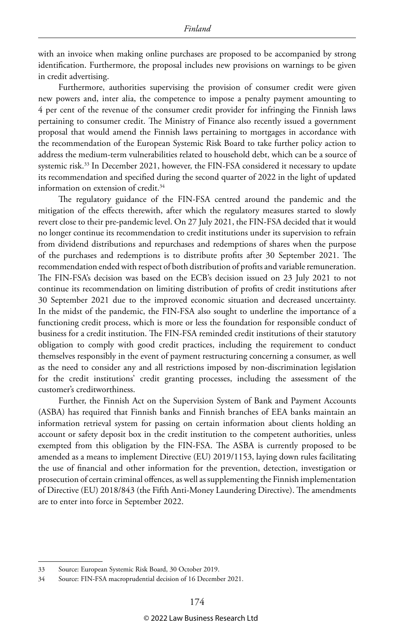with an invoice when making online purchases are proposed to be accompanied by strong identification. Furthermore, the proposal includes new provisions on warnings to be given in credit advertising.

Furthermore, authorities supervising the provision of consumer credit were given new powers and, inter alia, the competence to impose a penalty payment amounting to 4 per cent of the revenue of the consumer credit provider for infringing the Finnish laws pertaining to consumer credit. The Ministry of Finance also recently issued a government proposal that would amend the Finnish laws pertaining to mortgages in accordance with the recommendation of the European Systemic Risk Board to take further policy action to address the medium-term vulnerabilities related to household debt, which can be a source of systemic risk.<sup>33</sup> In December 2021, however, the FIN-FSA considered it necessary to update its recommendation and specified during the second quarter of 2022 in the light of updated information on extension of credit.<sup>34</sup>

The regulatory guidance of the FIN-FSA centred around the pandemic and the mitigation of the effects therewith, after which the regulatory measures started to slowly revert close to their pre-pandemic level. On 27 July 2021, the FIN-FSA decided that it would no longer continue its recommendation to credit institutions under its supervision to refrain from dividend distributions and repurchases and redemptions of shares when the purpose of the purchases and redemptions is to distribute profits after 30 September 2021. The recommendation ended with respect of both distribution of profits and variable remuneration. The FIN-FSA's decision was based on the ECB's decision issued on 23 July 2021 to not continue its recommendation on limiting distribution of profits of credit institutions after 30 September 2021 due to the improved economic situation and decreased uncertainty. In the midst of the pandemic, the FIN-FSA also sought to underline the importance of a functioning credit process, which is more or less the foundation for responsible conduct of business for a credit institution. The FIN-FSA reminded credit institutions of their statutory obligation to comply with good credit practices, including the requirement to conduct themselves responsibly in the event of payment restructuring concerning a consumer, as well as the need to consider any and all restrictions imposed by non-discrimination legislation for the credit institutions' credit granting processes, including the assessment of the customer's creditworthiness.

Further, the Finnish Act on the Supervision System of Bank and Payment Accounts (ASBA) has required that Finnish banks and Finnish branches of EEA banks maintain an information retrieval system for passing on certain information about clients holding an account or safety deposit box in the credit institution to the competent authorities, unless exempted from this obligation by the FIN-FSA. The ASBA is currently proposed to be amended as a means to implement Directive (EU) 2019/1153, laying down rules facilitating the use of financial and other information for the prevention, detection, investigation or prosecution of certain criminal offences, as well as supplementing the Finnish implementation of Directive (EU) 2018/843 (the Fifth Anti-Money Laundering Directive). The amendments are to enter into force in September 2022.

<sup>33</sup> Source: European Systemic Risk Board, 30 October 2019.

<sup>34</sup> Source: FIN-FSA macroprudential decision of 16 December 2021.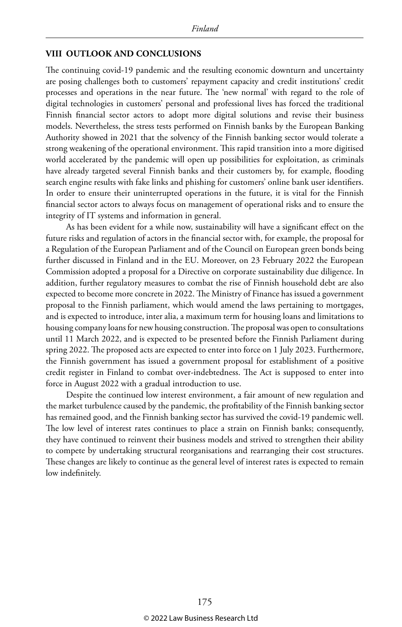#### **VIII OUTLOOK AND CONCLUSIONS**

The continuing covid-19 pandemic and the resulting economic downturn and uncertainty are posing challenges both to customers' repayment capacity and credit institutions' credit processes and operations in the near future. The 'new normal' with regard to the role of digital technologies in customers' personal and professional lives has forced the traditional Finnish financial sector actors to adopt more digital solutions and revise their business models. Nevertheless, the stress tests performed on Finnish banks by the European Banking Authority showed in 2021 that the solvency of the Finnish banking sector would tolerate a strong weakening of the operational environment. This rapid transition into a more digitised world accelerated by the pandemic will open up possibilities for exploitation, as criminals have already targeted several Finnish banks and their customers by, for example, flooding search engine results with fake links and phishing for customers' online bank user identifiers. In order to ensure their uninterrupted operations in the future, it is vital for the Finnish financial sector actors to always focus on management of operational risks and to ensure the integrity of IT systems and information in general.

As has been evident for a while now, sustainability will have a significant effect on the future risks and regulation of actors in the financial sector with, for example, the proposal for a Regulation of the European Parliament and of the Council on European green bonds being further discussed in Finland and in the EU. Moreover, on 23 February 2022 the European Commission adopted a proposal for a Directive on corporate sustainability due diligence. In addition, further regulatory measures to combat the rise of Finnish household debt are also expected to become more concrete in 2022. The Ministry of Finance has issued a government proposal to the Finnish parliament, which would amend the laws pertaining to mortgages, and is expected to introduce, inter alia, a maximum term for housing loans and limitations to housing company loans for new housing construction. The proposal was open to consultations until 11 March 2022, and is expected to be presented before the Finnish Parliament during spring 2022. The proposed acts are expected to enter into force on 1 July 2023. Furthermore, the Finnish government has issued a government proposal for establishment of a positive credit register in Finland to combat over-indebtedness. The Act is supposed to enter into force in August 2022 with a gradual introduction to use.

Despite the continued low interest environment, a fair amount of new regulation and the market turbulence caused by the pandemic, the profitability of the Finnish banking sector has remained good, and the Finnish banking sector has survived the covid-19 pandemic well. The low level of interest rates continues to place a strain on Finnish banks; consequently, they have continued to reinvent their business models and strived to strengthen their ability to compete by undertaking structural reorganisations and rearranging their cost structures. These changes are likely to continue as the general level of interest rates is expected to remain low indefinitely.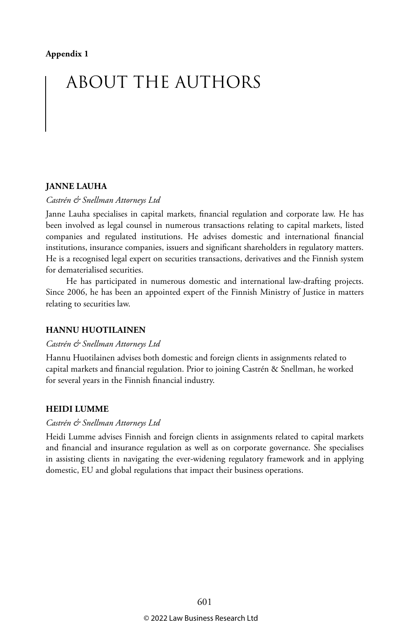# ABOUT THE AUTHORS

#### **JANNE LAUHA**

*Castrén & Snellman Attorneys Ltd*

Janne Lauha specialises in capital markets, financial regulation and corporate law. He has been involved as legal counsel in numerous transactions relating to capital markets, listed companies and regulated institutions. He advises domestic and international financial institutions, insurance companies, issuers and significant shareholders in regulatory matters. He is a recognised legal expert on securities transactions, derivatives and the Finnish system for dematerialised securities.

He has participated in numerous domestic and international law-drafting projects. Since 2006, he has been an appointed expert of the Finnish Ministry of Justice in matters relating to securities law.

#### **HANNU HUOTILAINEN**

#### *Castrén & Snellman Attorneys Ltd*

Hannu Huotilainen advises both domestic and foreign clients in assignments related to capital markets and financial regulation. Prior to joining Castrén & Snellman, he worked for several years in the Finnish financial industry.

#### **HEIDI LUMME**

#### *Castrén & Snellman Attorneys Ltd*

Heidi Lumme advises Finnish and foreign clients in assignments related to capital markets and financial and insurance regulation as well as on corporate governance. She specialises in assisting clients in navigating the ever-widening regulatory framework and in applying domestic, EU and global regulations that impact their business operations.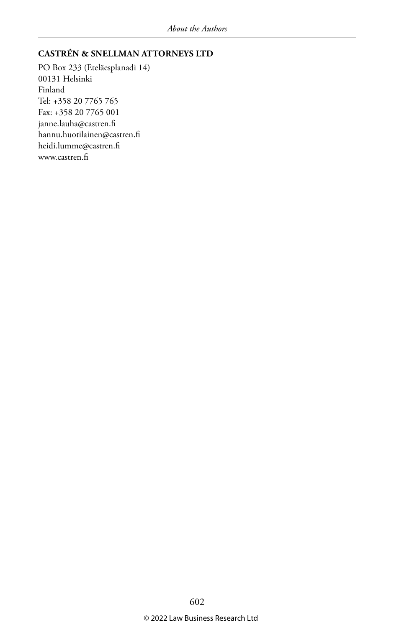#### **CASTRÉN & SNELLMAN ATTORNEYS LTD**

PO Box 233 (Eteläesplanadi 14) 00131 Helsinki Finland Tel: +358 20 7765 765 Fax: +358 20 7765 001 janne.lauha@castren.fi hannu.huotilainen@castren.fi heidi.lumme@castren.fi www.castren.fi